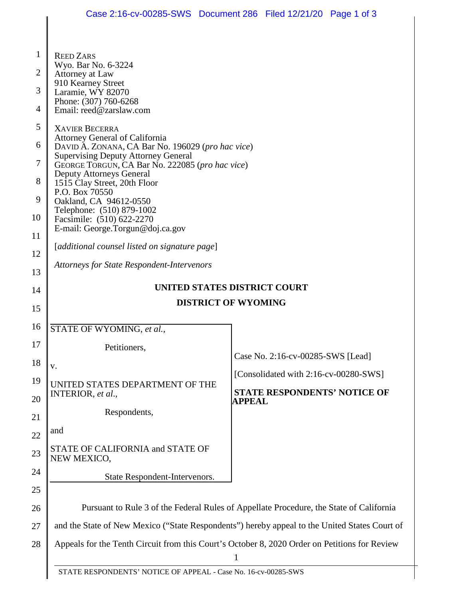$\overline{\phantom{a}}$ 

 $\parallel$ 

| $\mathbf{1}$   | <b>REED ZARS</b>                                                                                                                                                                                                        |                                                      |  |
|----------------|-------------------------------------------------------------------------------------------------------------------------------------------------------------------------------------------------------------------------|------------------------------------------------------|--|
| $\overline{2}$ | Wyo. Bar No. 6-3224<br>Attorney at Law                                                                                                                                                                                  |                                                      |  |
| 3              | 910 Kearney Street<br>Laramie, WY 82070                                                                                                                                                                                 |                                                      |  |
| 4              | Phone: (307) 760-6268<br>Email: reed@zarslaw.com                                                                                                                                                                        |                                                      |  |
| 5              | <b>XAVIER BECERRA</b>                                                                                                                                                                                                   |                                                      |  |
| 6              | Attorney General of California<br>DAVID A. ZONANA, CA Bar No. 196029 (pro hac vice)<br><b>Supervising Deputy Attorney General</b><br>GEORGE TORGUN, CA Bar No. 222085 (pro hac vice)<br><b>Deputy Attorneys General</b> |                                                      |  |
| 7              |                                                                                                                                                                                                                         |                                                      |  |
|                |                                                                                                                                                                                                                         |                                                      |  |
| 8              | 1515 Clay Street, 20th Floor<br>P.O. Box 70550                                                                                                                                                                          |                                                      |  |
| 9              | Oakland, CA 94612-0550<br>Telephone: (510) 879-1002                                                                                                                                                                     |                                                      |  |
| 10             | Facsimile: (510) 622-2270<br>E-mail: George.Torgun@doj.ca.gov                                                                                                                                                           |                                                      |  |
| 11             | [additional counsel listed on signature page]                                                                                                                                                                           |                                                      |  |
| 12             | <b>Attorneys for State Respondent-Intervenors</b>                                                                                                                                                                       |                                                      |  |
| 13             |                                                                                                                                                                                                                         |                                                      |  |
| 14             | UNITED STATES DISTRICT COURT<br><b>DISTRICT OF WYOMING</b>                                                                                                                                                              |                                                      |  |
| 15             |                                                                                                                                                                                                                         |                                                      |  |
| 16             | STATE OF WYOMING, et al.,                                                                                                                                                                                               |                                                      |  |
| 17             | Petitioners,                                                                                                                                                                                                            | Case No. 2:16-cv-00285-SWS [Lead]                    |  |
| 18             | v.                                                                                                                                                                                                                      |                                                      |  |
| 19             | UNITED STATES DEPARTMENT OF THE                                                                                                                                                                                         | [Consolidated with 2:16-cv-00280-SWS]                |  |
| 20             | INTERIOR, et al.,                                                                                                                                                                                                       | <b>STATE RESPONDENTS' NOTICE OF</b><br><b>APPEAL</b> |  |
| 21             | Respondents,                                                                                                                                                                                                            |                                                      |  |
| 22             | and                                                                                                                                                                                                                     |                                                      |  |
| 23             | STATE OF CALIFORNIA and STATE OF<br>NEW MEXICO,                                                                                                                                                                         |                                                      |  |
| 24             | State Respondent-Intervenors.                                                                                                                                                                                           |                                                      |  |
| 25             |                                                                                                                                                                                                                         |                                                      |  |
| 26             | Pursuant to Rule 3 of the Federal Rules of Appellate Procedure, the State of California                                                                                                                                 |                                                      |  |
| 27             | and the State of New Mexico ("State Respondents") hereby appeal to the United States Court of                                                                                                                           |                                                      |  |
| 28             | Appeals for the Tenth Circuit from this Court's October 8, 2020 Order on Petitions for Review                                                                                                                           |                                                      |  |
|                | 1                                                                                                                                                                                                                       |                                                      |  |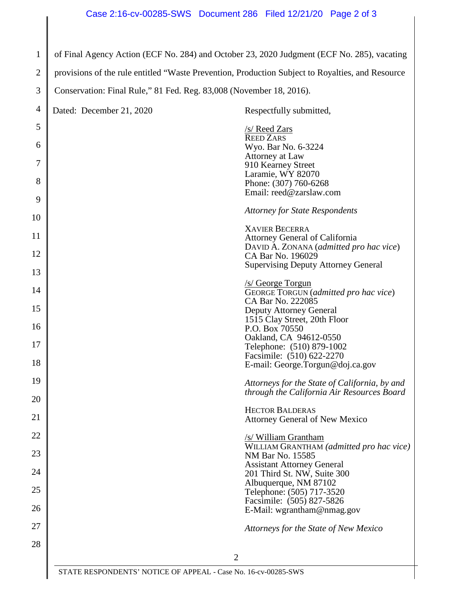1 of Final Agency Action (ECF No. 284) and October 23, 2020 Judgment (ECF No. 285), vacating

2 provisions of the rule entitled "Waste Prevention, Production Subject to Royalties, and Resource

3 Conservation: Final Rule," 81 Fed. Reg. 83,008 (November 18, 2016).

| 4  | Dated: December 21, 2020 | Respectfully submitted,                                                   |
|----|--------------------------|---------------------------------------------------------------------------|
| 5  |                          | /s/ Reed Zars                                                             |
| 6  |                          | <b>REED ZARS</b><br>Wyo. Bar No. 6-3224                                   |
| 7  |                          | Attorney at Law<br>910 Kearney Street                                     |
| 8  |                          | Laramie, WY 82070                                                         |
| 9  |                          | Phone: (307) 760-6268<br>Email: reed@zarslaw.com                          |
| 10 |                          | <b>Attorney for State Respondents</b>                                     |
| 11 |                          | <b>XAVIER BECERRA</b>                                                     |
|    |                          | Attorney General of California<br>DAVID A. ZONANA (admitted pro hac vice) |
| 12 |                          | CA Bar No. 196029<br><b>Supervising Deputy Attorney General</b>           |
| 13 |                          | /s/ George Torgun                                                         |
| 14 |                          | GEORGE TORGUN (admitted pro hac vice)<br>CA Bar No. 222085                |
| 15 |                          | <b>Deputy Attorney General</b><br>1515 Clay Street, 20th Floor            |
| 16 |                          | P.O. Box 70550<br>Oakland, CA 94612-0550                                  |
| 17 |                          | Telephone: (510) 879-1002<br>Facsimile: (510) 622-2270                    |
| 18 |                          | E-mail: George.Torgun@doj.ca.gov                                          |
| 19 |                          | Attorneys for the State of California, by and                             |
| 20 |                          | through the California Air Resources Board                                |
| 21 |                          | <b>HECTOR BALDERAS</b><br><b>Attorney General of New Mexico</b>           |
| 22 |                          | /s/ William Grantham                                                      |
| 23 |                          | WILLIAM GRANTHAM (admitted pro hac vice)<br>NM Bar No. 15585              |
| 24 |                          | <b>Assistant Attorney General</b><br>201 Third St. NW, Suite 300          |
| 25 |                          | Albuquerque, NM 87102<br>Telephone: (505) 717-3520                        |
| 26 |                          | Facsimile: (505) 827-5826<br>E-Mail: wgrantham@nmag.gov                   |
| 27 |                          | Attorneys for the State of New Mexico                                     |
| 28 |                          |                                                                           |
|    |                          | $\overline{2}$                                                            |